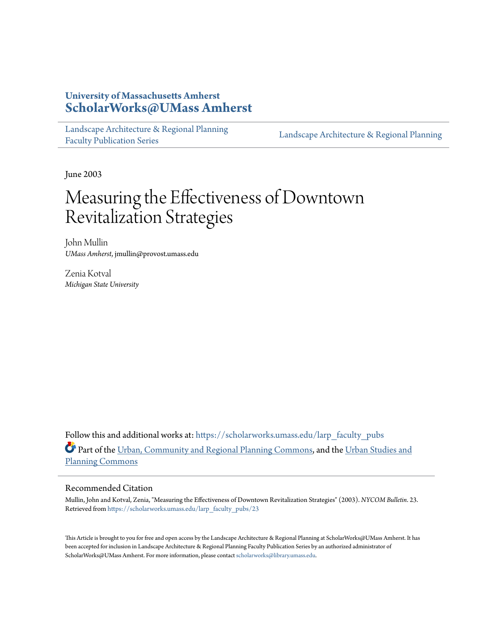#### **University of Massachusetts Amherst [ScholarWorks@UMass Amherst](https://scholarworks.umass.edu?utm_source=scholarworks.umass.edu%2Flarp_faculty_pubs%2F23&utm_medium=PDF&utm_campaign=PDFCoverPages)**

[Landscape Architecture & Regional Planning](https://scholarworks.umass.edu/larp_faculty_pubs?utm_source=scholarworks.umass.edu%2Flarp_faculty_pubs%2F23&utm_medium=PDF&utm_campaign=PDFCoverPages) [Faculty Publication Series](https://scholarworks.umass.edu/larp_faculty_pubs?utm_source=scholarworks.umass.edu%2Flarp_faculty_pubs%2F23&utm_medium=PDF&utm_campaign=PDFCoverPages)

[Landscape Architecture & Regional Planning](https://scholarworks.umass.edu/larp?utm_source=scholarworks.umass.edu%2Flarp_faculty_pubs%2F23&utm_medium=PDF&utm_campaign=PDFCoverPages)

June 2003

# Measuring the Effectiveness of Downtown Revitalization Strategies

John Mullin *UMass Amherst*, jmullin@provost.umass.edu

Zenia Kotval *Michigan State University*

Follow this and additional works at: [https://scholarworks.umass.edu/larp\\_faculty\\_pubs](https://scholarworks.umass.edu/larp_faculty_pubs?utm_source=scholarworks.umass.edu%2Flarp_faculty_pubs%2F23&utm_medium=PDF&utm_campaign=PDFCoverPages) Part of the [Urban, Community and Regional Planning Commons](http://network.bepress.com/hgg/discipline/776?utm_source=scholarworks.umass.edu%2Flarp_faculty_pubs%2F23&utm_medium=PDF&utm_campaign=PDFCoverPages), and the [Urban Studies and](http://network.bepress.com/hgg/discipline/436?utm_source=scholarworks.umass.edu%2Flarp_faculty_pubs%2F23&utm_medium=PDF&utm_campaign=PDFCoverPages) [Planning Commons](http://network.bepress.com/hgg/discipline/436?utm_source=scholarworks.umass.edu%2Flarp_faculty_pubs%2F23&utm_medium=PDF&utm_campaign=PDFCoverPages)

#### Recommended Citation

Mullin, John and Kotval, Zenia, "Measuring the Effectiveness of Downtown Revitalization Strategies" (2003). *NYCOM Bulletin*. 23. Retrieved from [https://scholarworks.umass.edu/larp\\_faculty\\_pubs/23](https://scholarworks.umass.edu/larp_faculty_pubs/23?utm_source=scholarworks.umass.edu%2Flarp_faculty_pubs%2F23&utm_medium=PDF&utm_campaign=PDFCoverPages)

This Article is brought to you for free and open access by the Landscape Architecture & Regional Planning at ScholarWorks@UMass Amherst. It has been accepted for inclusion in Landscape Architecture & Regional Planning Faculty Publication Series by an authorized administrator of ScholarWorks@UMass Amherst. For more information, please contact [scholarworks@library.umass.edu.](mailto:scholarworks@library.umass.edu)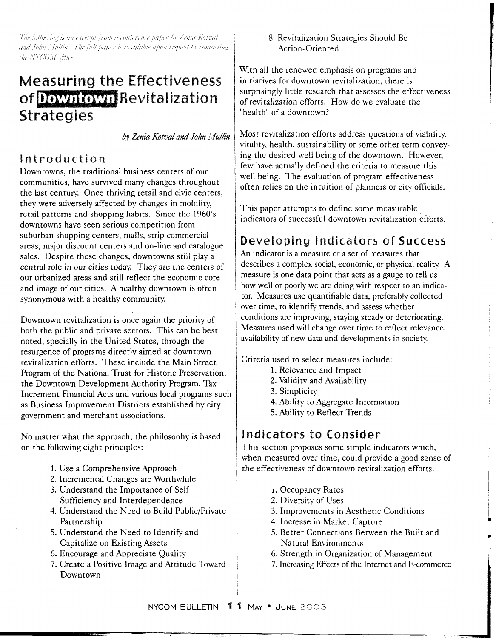The following is an excerpt from a conference paper by Zenia Kotval and John Mullin. The full paper is available upon request by contacting the NYCOM office.

## **Measuring the Effectiveness**  of Downtown Revitalization **Strategies**

*by Zenia Kotval and John Mullin* 

#### **intrsductian**

Downtowns, the traditional business centers of our communities, have survived many changes throughout the last century. Once thriving retail and civic centers, they were adversely affected by changes in mobility, retail patterns and shopping habits. Since the 1960's downtowns have seen serious competition from suburban shopping centers, malls, strip commercial areas, major discount centers and on-line and catalogue sales. Despite these changes, downtowns still play a central role in our cities today. They are the centers of our urbanized areas and still reflect the economic core and image of our cities. A healthy downtown is often synonymous with a healthy community.

Downtown revitalization is once again the priority of both the public and private sectors. This can be best noted, specially in the United States, through the resurgence of programs directly aimed at downtown revitalization efforts. These include the Main Street Program of the National Trust for Historic Preservation, the Downtown Development Authority Program, Tax Increment Financial Acts and various local programs such as Business Improvement Districts established by city government and merchant associations.

No matter what the approach, the philosophy is based on the following eight principles:

- 1. Use a Comprehensive Approach
- 2. Incremental Changes are Worthwhile
- 3. Understand the Importance of Self Sufficiency and Interdependence
- 4. Understand the Need to Build Public/Private Partnership
- 5. Understand the Need to Identify and Capitalize on Existing Assets
- 6. Encourage and Appreciate Quality
- 7. Create a Positive Image and Attitude Toward Downtown

8. Revitalization Strategies Should Be Action-Oriented

With all the renewed emphasis on programs and initiatives for downtown revitalization, there is surprisingly little research that assesses the effectiveness of revitalization efforts. How do we evaluate the "health" of a downtown?

Most revitalization efforts address questions of viability, vitality, health, sustainability or some other term conveying the desired well being of the downtown. However, few have actually defined the criteria to measure this well being. The evaluation of program effectiveness often relies on the intuition of planners or city officials.

This paper attempts to define some measurable indicators of successful downtown revitalization efforts.

### **Developing Indicators of** Success

An indicator is a measure or a set of measures that describes a complex social, economic, or physical reality. A measure is one data point that acts as a gauge to tell us how well or poorly we are doing with respect to an indicator. Measures use quantifiable data, preferably collected over time, to identify trends, and assess whether conditions are improving, staying steady or deteriorating. Measures used will change over time to reflect relevance, availability of new data and developments in society.

Criteria used to select measures include:

- 1. Relevance and Impact
- 2. Validity and Availability
- 3. Simplicity
- 4. Ability to Aggregate Information
- 5. Ability to Reflect Trends

#### **Indicators** to **Consider**

This section proposes some simple indicators which, when measured over time, could provide a good sense of the effectiveness of downtown revitalization efforts.

- 1. Occupancy Rates
- 2. Diversity of Uses
- 3. Improvements in Aesthetic Conditions
- 4. Increase in Market Capture
- 5. Better Connections Between the Built and Natural Environments
- 6. Strength in Organization of Management
- 7. Increasing Effects of the Internet and E-commerce